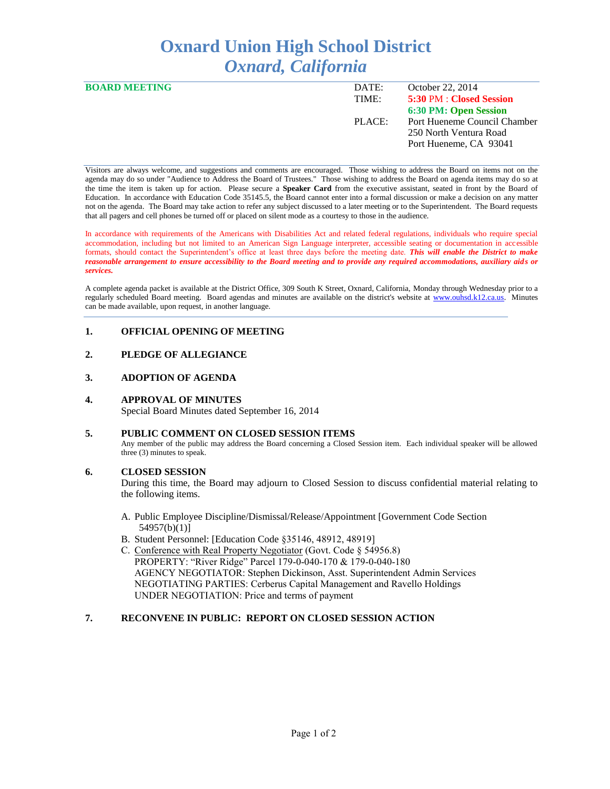# **Oxnard Union High School District** *Oxnard, California*

| <b>BOARD MEETING</b> | DATE:  | October 22, 2014             |
|----------------------|--------|------------------------------|
|                      | TIME:  | 5:30 PM : Closed Session     |
|                      |        | 6:30 PM: Open Session        |
|                      | PLACE: | Port Hueneme Council Chamber |
|                      |        | 250 North Ventura Road       |
|                      |        | Port Hueneme, CA 93041       |
|                      |        |                              |

Visitors are always welcome, and suggestions and comments are encouraged. Those wishing to address the Board on items not on the agenda may do so under "Audience to Address the Board of Trustees." Those wishing to address the Board on agenda items may do so at the time the item is taken up for action. Please secure a **Speaker Card** from the executive assistant, seated in front by the Board of Education. In accordance with Education Code 35145.5, the Board cannot enter into a formal discussion or make a decision on any matter not on the agenda. The Board may take action to refer any subject discussed to a later meeting or to the Superintendent. The Board requests that all pagers and cell phones be turned off or placed on silent mode as a courtesy to those in the audience.

In accordance with requirements of the Americans with Disabilities Act and related federal regulations, individuals who require special accommodation, including but not limited to an American Sign Language interpreter, accessible seating or documentation in accessible formats, should contact the Superintendent's office at least three days before the meeting date. *This will enable the District to make reasonable arrangement to ensure accessibility to the Board meeting and to provide any required accommodations, auxiliary aids or services.* 

A complete agenda packet is available at the District Office, 309 South K Street, Oxnard, California, Monday through Wednesday prior to a regularly scheduled Board meeting. Board agendas and minutes are available on the district's website at [www.ouhsd.k12.ca.us.](http://www.ouhsd.k12.ca.us/)Minutes can be made available, upon request, in another language.

# **1. OFFICIAL OPENING OF MEETING**

# **2. PLEDGE OF ALLEGIANCE**

#### **3. ADOPTION OF AGENDA**

#### **4. APPROVAL OF MINUTES**

Special Board Minutes dated September 16, 2014

# **5. PUBLIC COMMENT ON CLOSED SESSION ITEMS**

Any member of the public may address the Board concerning a Closed Session item. Each individual speaker will be allowed three (3) minutes to speak.

# **6. CLOSED SESSION**

During this time, the Board may adjourn to Closed Session to discuss confidential material relating to the following items.

- A. Public Employee Discipline/Dismissal/Release/Appointment [Government Code Section 54957(b)(1)]
- B. Student Personnel: [Education Code §35146, 48912, 48919]
- C. Conference with Real Property Negotiator (Govt. Code § 54956.8) PROPERTY: "River Ridge" Parcel 179-0-040-170 & 179-0-040-180 AGENCY NEGOTIATOR: Stephen Dickinson, Asst. Superintendent Admin Services NEGOTIATING PARTIES: Cerberus Capital Management and Ravello Holdings UNDER NEGOTIATION: Price and terms of payment

# **7. RECONVENE IN PUBLIC: REPORT ON CLOSED SESSION ACTION**